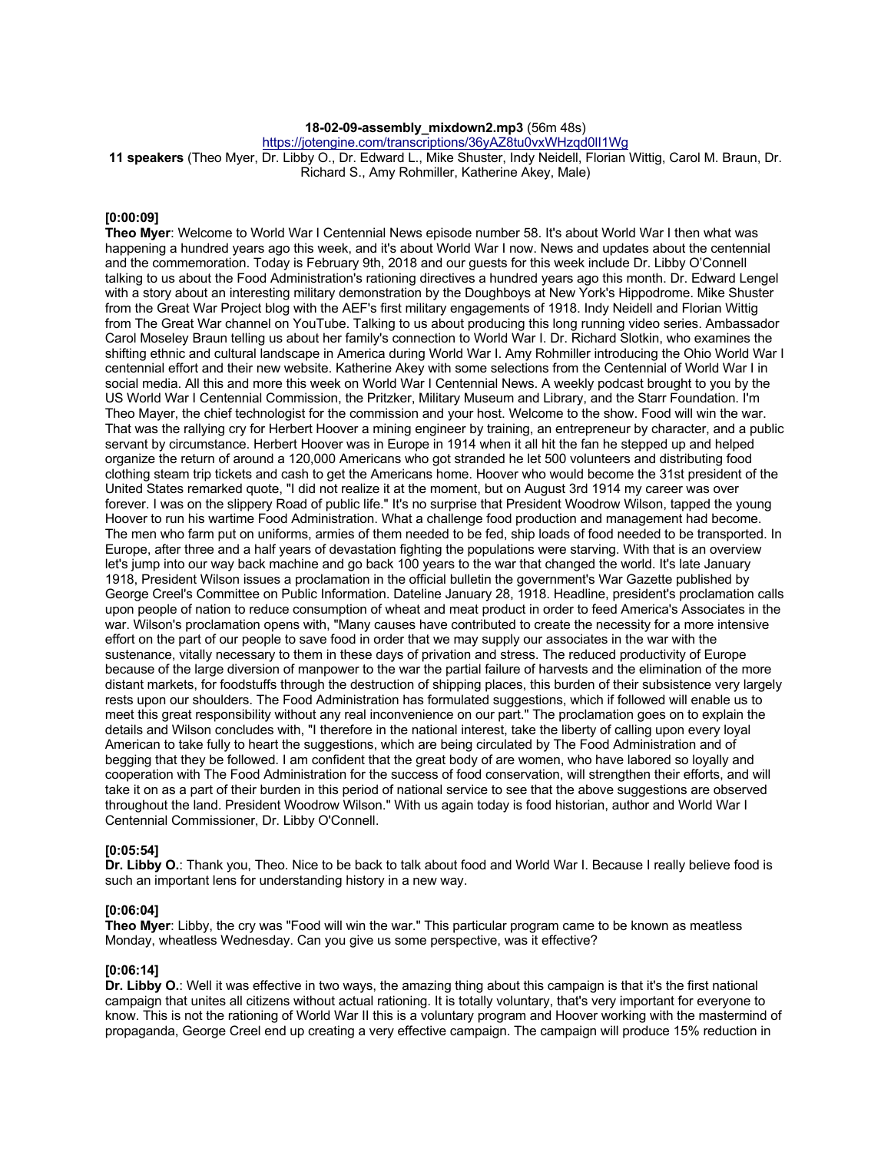## **18-02-09-assembly\_mixdown2.mp3** (56m 48s)

https://jotengine.com/transcriptions/36yAZ8tu0vxWHzqd0lI1Wg

**11 speakers** (Theo Myer, Dr. Libby O., Dr. Edward L., Mike Shuster, Indy Neidell, Florian Wittig, Carol M. Braun, Dr. Richard S., Amy Rohmiller, Katherine Akey, Male)

#### **[0:00:09]**

**Theo Myer**: Welcome to World War I Centennial News episode number 58. It's about World War I then what was happening a hundred years ago this week, and it's about World War I now. News and updates about the centennial and the commemoration. Today is February 9th, 2018 and our guests for this week include Dr. Libby O'Connell talking to us about the Food Administration's rationing directives a hundred years ago this month. Dr. Edward Lengel with a story about an interesting military demonstration by the Doughboys at New York's Hippodrome. Mike Shuster from the Great War Project blog with the AEF's first military engagements of 1918. Indy Neidell and Florian Wittig from The Great War channel on YouTube. Talking to us about producing this long running video series. Ambassador Carol Moseley Braun telling us about her family's connection to World War I. Dr. Richard Slotkin, who examines the shifting ethnic and cultural landscape in America during World War I. Amy Rohmiller introducing the Ohio World War I centennial effort and their new website. Katherine Akey with some selections from the Centennial of World War I in social media. All this and more this week on World War I Centennial News. A weekly podcast brought to you by the US World War I Centennial Commission, the Pritzker, Military Museum and Library, and the Starr Foundation. I'm Theo Mayer, the chief technologist for the commission and your host. Welcome to the show. Food will win the war. That was the rallying cry for Herbert Hoover a mining engineer by training, an entrepreneur by character, and a public servant by circumstance. Herbert Hoover was in Europe in 1914 when it all hit the fan he stepped up and helped organize the return of around a 120,000 Americans who got stranded he let 500 volunteers and distributing food clothing steam trip tickets and cash to get the Americans home. Hoover who would become the 31st president of the United States remarked quote, "I did not realize it at the moment, but on August 3rd 1914 my career was over forever. I was on the slippery Road of public life." It's no surprise that President Woodrow Wilson, tapped the young Hoover to run his wartime Food Administration. What a challenge food production and management had become. The men who farm put on uniforms, armies of them needed to be fed, ship loads of food needed to be transported. In Europe, after three and a half years of devastation fighting the populations were starving. With that is an overview let's jump into our way back machine and go back 100 years to the war that changed the world. It's late January 1918, President Wilson issues a proclamation in the official bulletin the government's War Gazette published by George Creel's Committee on Public Information. Dateline January 28, 1918. Headline, president's proclamation calls upon people of nation to reduce consumption of wheat and meat product in order to feed America's Associates in the war. Wilson's proclamation opens with, "Many causes have contributed to create the necessity for a more intensive effort on the part of our people to save food in order that we may supply our associates in the war with the sustenance, vitally necessary to them in these days of privation and stress. The reduced productivity of Europe because of the large diversion of manpower to the war the partial failure of harvests and the elimination of the more distant markets, for foodstuffs through the destruction of shipping places, this burden of their subsistence very largely rests upon our shoulders. The Food Administration has formulated suggestions, which if followed will enable us to meet this great responsibility without any real inconvenience on our part." The proclamation goes on to explain the details and Wilson concludes with, "I therefore in the national interest, take the liberty of calling upon every loyal American to take fully to heart the suggestions, which are being circulated by The Food Administration and of begging that they be followed. I am confident that the great body of are women, who have labored so loyally and cooperation with The Food Administration for the success of food conservation, will strengthen their efforts, and will take it on as a part of their burden in this period of national service to see that the above suggestions are observed throughout the land. President Woodrow Wilson." With us again today is food historian, author and World War I Centennial Commissioner, Dr. Libby O'Connell.

## **[0:05:54]**

**Dr. Libby O.**: Thank you, Theo. Nice to be back to talk about food and World War I. Because I really believe food is such an important lens for understanding history in a new way.

#### **[0:06:04]**

**Theo Myer**: Libby, the cry was "Food will win the war." This particular program came to be known as meatless Monday, wheatless Wednesday. Can you give us some perspective, was it effective?

#### **[0:06:14]**

**Dr. Libby O.**: Well it was effective in two ways, the amazing thing about this campaign is that it's the first national campaign that unites all citizens without actual rationing. It is totally voluntary, that's very important for everyone to know. This is not the rationing of World War II this is a voluntary program and Hoover working with the mastermind of propaganda, George Creel end up creating a very effective campaign. The campaign will produce 15% reduction in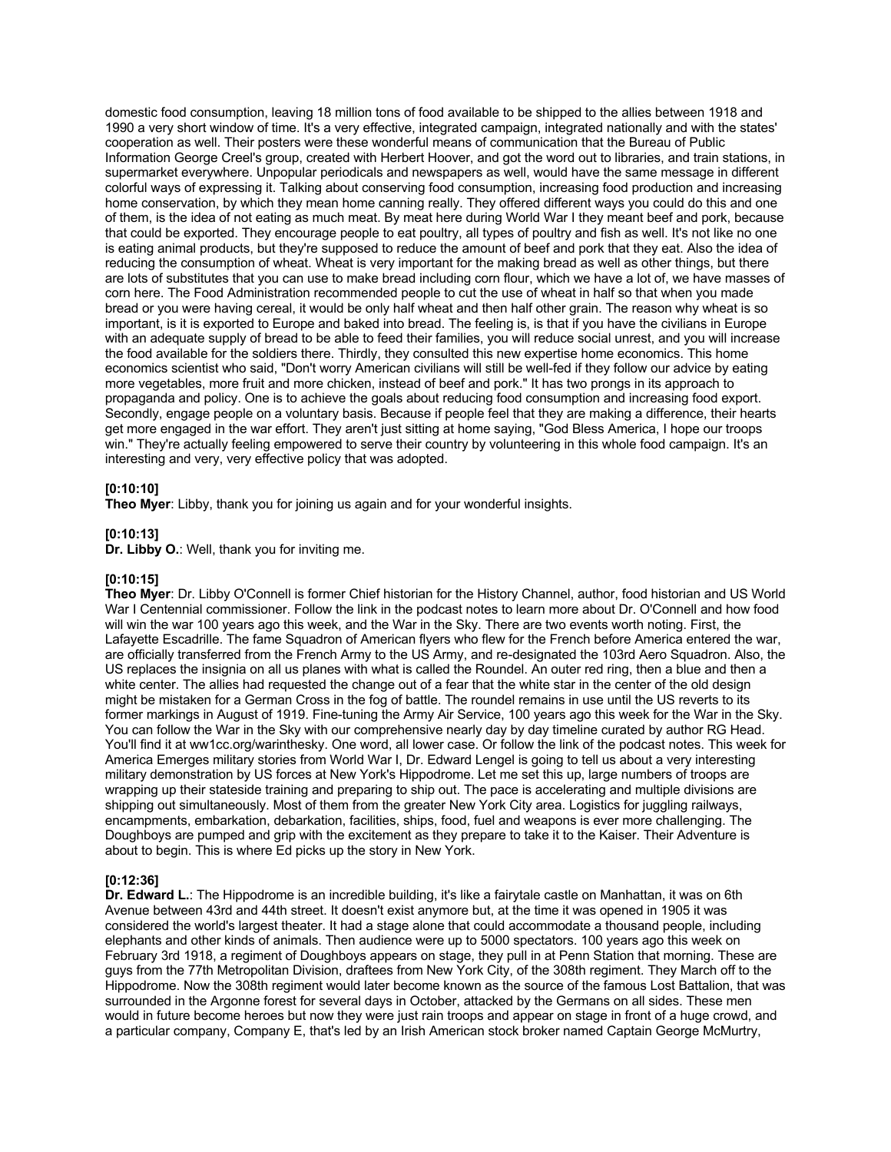domestic food consumption, leaving 18 million tons of food available to be shipped to the allies between 1918 and 1990 a very short window of time. It's a very effective, integrated campaign, integrated nationally and with the states' cooperation as well. Their posters were these wonderful means of communication that the Bureau of Public Information George Creel's group, created with Herbert Hoover, and got the word out to libraries, and train stations, in supermarket everywhere. Unpopular periodicals and newspapers as well, would have the same message in different colorful ways of expressing it. Talking about conserving food consumption, increasing food production and increasing home conservation, by which they mean home canning really. They offered different ways you could do this and one of them, is the idea of not eating as much meat. By meat here during World War I they meant beef and pork, because that could be exported. They encourage people to eat poultry, all types of poultry and fish as well. It's not like no one is eating animal products, but they're supposed to reduce the amount of beef and pork that they eat. Also the idea of reducing the consumption of wheat. Wheat is very important for the making bread as well as other things, but there are lots of substitutes that you can use to make bread including corn flour, which we have a lot of, we have masses of corn here. The Food Administration recommended people to cut the use of wheat in half so that when you made bread or you were having cereal, it would be only half wheat and then half other grain. The reason why wheat is so important, is it is exported to Europe and baked into bread. The feeling is, is that if you have the civilians in Europe with an adequate supply of bread to be able to feed their families, you will reduce social unrest, and you will increase the food available for the soldiers there. Thirdly, they consulted this new expertise home economics. This home economics scientist who said, "Don't worry American civilians will still be well-fed if they follow our advice by eating more vegetables, more fruit and more chicken, instead of beef and pork." It has two prongs in its approach to propaganda and policy. One is to achieve the goals about reducing food consumption and increasing food export. Secondly, engage people on a voluntary basis. Because if people feel that they are making a difference, their hearts get more engaged in the war effort. They aren't just sitting at home saying, "God Bless America, I hope our troops win." They're actually feeling empowered to serve their country by volunteering in this whole food campaign. It's an interesting and very, very effective policy that was adopted.

### **[0:10:10]**

**Theo Myer**: Libby, thank you for joining us again and for your wonderful insights.

#### **[0:10:13]**

**Dr. Libby O.**: Well, thank you for inviting me.

#### **[0:10:15]**

**Theo Myer**: Dr. Libby O'Connell is former Chief historian for the History Channel, author, food historian and US World War I Centennial commissioner. Follow the link in the podcast notes to learn more about Dr. O'Connell and how food will win the war 100 years ago this week, and the War in the Sky. There are two events worth noting. First, the Lafayette Escadrille. The fame Squadron of American flyers who flew for the French before America entered the war, are officially transferred from the French Army to the US Army, and re-designated the 103rd Aero Squadron. Also, the US replaces the insignia on all us planes with what is called the Roundel. An outer red ring, then a blue and then a white center. The allies had requested the change out of a fear that the white star in the center of the old design might be mistaken for a German Cross in the fog of battle. The roundel remains in use until the US reverts to its former markings in August of 1919. Fine-tuning the Army Air Service, 100 years ago this week for the War in the Sky. You can follow the War in the Sky with our comprehensive nearly day by day timeline curated by author RG Head. You'll find it at ww1cc.org/warinthesky. One word, all lower case. Or follow the link of the podcast notes. This week for America Emerges military stories from World War I, Dr. Edward Lengel is going to tell us about a very interesting military demonstration by US forces at New York's Hippodrome. Let me set this up, large numbers of troops are wrapping up their stateside training and preparing to ship out. The pace is accelerating and multiple divisions are shipping out simultaneously. Most of them from the greater New York City area. Logistics for juggling railways, encampments, embarkation, debarkation, facilities, ships, food, fuel and weapons is ever more challenging. The Doughboys are pumped and grip with the excitement as they prepare to take it to the Kaiser. Their Adventure is about to begin. This is where Ed picks up the story in New York.

#### **[0:12:36]**

**Dr. Edward L.**: The Hippodrome is an incredible building, it's like a fairytale castle on Manhattan, it was on 6th Avenue between 43rd and 44th street. It doesn't exist anymore but, at the time it was opened in 1905 it was considered the world's largest theater. It had a stage alone that could accommodate a thousand people, including elephants and other kinds of animals. Then audience were up to 5000 spectators. 100 years ago this week on February 3rd 1918, a regiment of Doughboys appears on stage, they pull in at Penn Station that morning. These are guys from the 77th Metropolitan Division, draftees from New York City, of the 308th regiment. They March off to the Hippodrome. Now the 308th regiment would later become known as the source of the famous Lost Battalion, that was surrounded in the Argonne forest for several days in October, attacked by the Germans on all sides. These men would in future become heroes but now they were just rain troops and appear on stage in front of a huge crowd, and a particular company, Company E, that's led by an Irish American stock broker named Captain George McMurtry,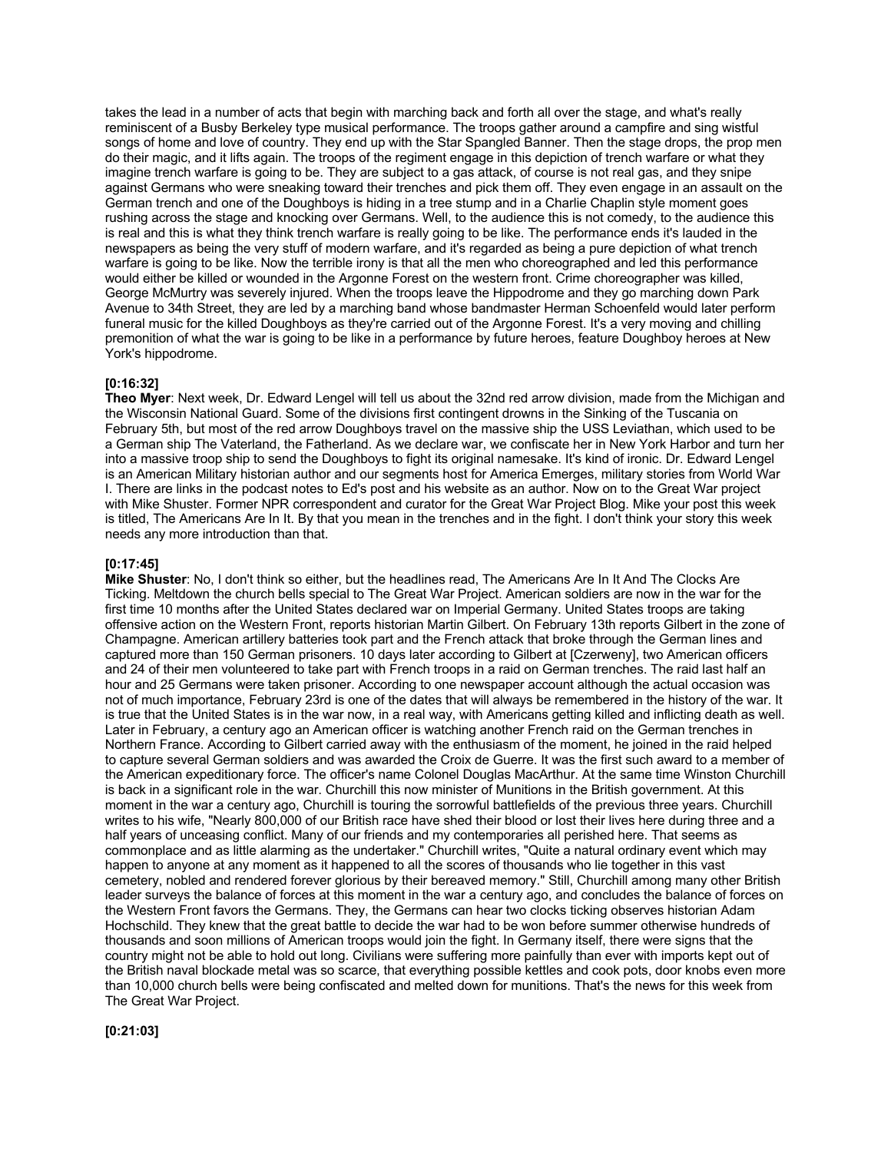takes the lead in a number of acts that begin with marching back and forth all over the stage, and what's really reminiscent of a Busby Berkeley type musical performance. The troops gather around a campfire and sing wistful songs of home and love of country. They end up with the Star Spangled Banner. Then the stage drops, the prop men do their magic, and it lifts again. The troops of the regiment engage in this depiction of trench warfare or what they imagine trench warfare is going to be. They are subject to a gas attack, of course is not real gas, and they snipe against Germans who were sneaking toward their trenches and pick them off. They even engage in an assault on the German trench and one of the Doughboys is hiding in a tree stump and in a Charlie Chaplin style moment goes rushing across the stage and knocking over Germans. Well, to the audience this is not comedy, to the audience this is real and this is what they think trench warfare is really going to be like. The performance ends it's lauded in the newspapers as being the very stuff of modern warfare, and it's regarded as being a pure depiction of what trench warfare is going to be like. Now the terrible irony is that all the men who choreographed and led this performance would either be killed or wounded in the Argonne Forest on the western front. Crime choreographer was killed, George McMurtry was severely injured. When the troops leave the Hippodrome and they go marching down Park Avenue to 34th Street, they are led by a marching band whose bandmaster Herman Schoenfeld would later perform funeral music for the killed Doughboys as they're carried out of the Argonne Forest. It's a very moving and chilling premonition of what the war is going to be like in a performance by future heroes, feature Doughboy heroes at New York's hippodrome.

#### **[0:16:32]**

**Theo Myer**: Next week, Dr. Edward Lengel will tell us about the 32nd red arrow division, made from the Michigan and the Wisconsin National Guard. Some of the divisions first contingent drowns in the Sinking of the Tuscania on February 5th, but most of the red arrow Doughboys travel on the massive ship the USS Leviathan, which used to be a German ship The Vaterland, the Fatherland. As we declare war, we confiscate her in New York Harbor and turn her into a massive troop ship to send the Doughboys to fight its original namesake. It's kind of ironic. Dr. Edward Lengel is an American Military historian author and our segments host for America Emerges, military stories from World War I. There are links in the podcast notes to Ed's post and his website as an author. Now on to the Great War project with Mike Shuster. Former NPR correspondent and curator for the Great War Project Blog. Mike your post this week is titled, The Americans Are In It. By that you mean in the trenches and in the fight. I don't think your story this week needs any more introduction than that.

### **[0:17:45]**

**Mike Shuster**: No, I don't think so either, but the headlines read, The Americans Are In It And The Clocks Are Ticking. Meltdown the church bells special to The Great War Project. American soldiers are now in the war for the first time 10 months after the United States declared war on Imperial Germany. United States troops are taking offensive action on the Western Front, reports historian Martin Gilbert. On February 13th reports Gilbert in the zone of Champagne. American artillery batteries took part and the French attack that broke through the German lines and captured more than 150 German prisoners. 10 days later according to Gilbert at [Czerweny], two American officers and 24 of their men volunteered to take part with French troops in a raid on German trenches. The raid last half an hour and 25 Germans were taken prisoner. According to one newspaper account although the actual occasion was not of much importance, February 23rd is one of the dates that will always be remembered in the history of the war. It is true that the United States is in the war now, in a real way, with Americans getting killed and inflicting death as well. Later in February, a century ago an American officer is watching another French raid on the German trenches in Northern France. According to Gilbert carried away with the enthusiasm of the moment, he joined in the raid helped to capture several German soldiers and was awarded the Croix de Guerre. It was the first such award to a member of the American expeditionary force. The officer's name Colonel Douglas MacArthur. At the same time Winston Churchill is back in a significant role in the war. Churchill this now minister of Munitions in the British government. At this moment in the war a century ago, Churchill is touring the sorrowful battlefields of the previous three years. Churchill writes to his wife, "Nearly 800,000 of our British race have shed their blood or lost their lives here during three and a half years of unceasing conflict. Many of our friends and my contemporaries all perished here. That seems as commonplace and as little alarming as the undertaker." Churchill writes, "Quite a natural ordinary event which may happen to anyone at any moment as it happened to all the scores of thousands who lie together in this vast cemetery, nobled and rendered forever glorious by their bereaved memory." Still, Churchill among many other British leader surveys the balance of forces at this moment in the war a century ago, and concludes the balance of forces on the Western Front favors the Germans. They, the Germans can hear two clocks ticking observes historian Adam Hochschild. They knew that the great battle to decide the war had to be won before summer otherwise hundreds of thousands and soon millions of American troops would join the fight. In Germany itself, there were signs that the country might not be able to hold out long. Civilians were suffering more painfully than ever with imports kept out of the British naval blockade metal was so scarce, that everything possible kettles and cook pots, door knobs even more than 10,000 church bells were being confiscated and melted down for munitions. That's the news for this week from The Great War Project.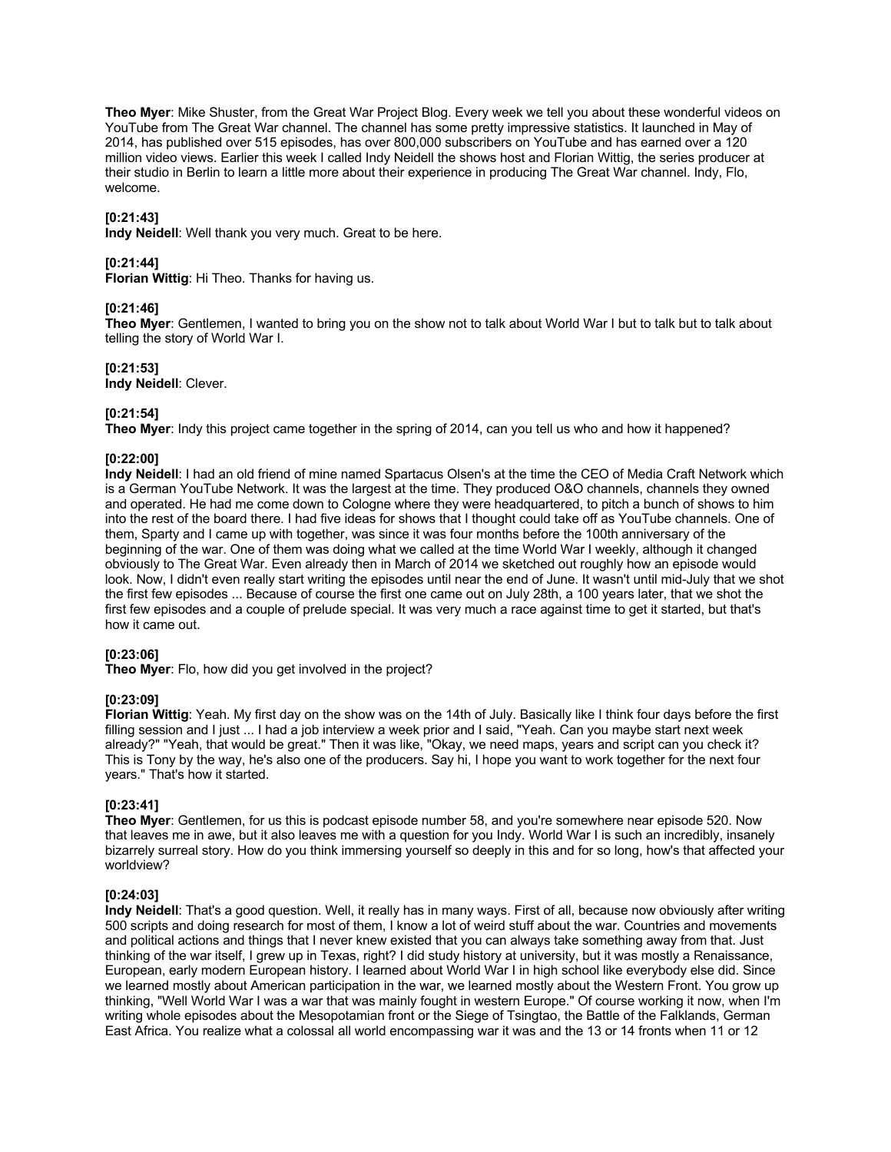**Theo Myer**: Mike Shuster, from the Great War Project Blog. Every week we tell you about these wonderful videos on YouTube from The Great War channel. The channel has some pretty impressive statistics. It launched in May of 2014, has published over 515 episodes, has over 800,000 subscribers on YouTube and has earned over a 120 million video views. Earlier this week I called Indy Neidell the shows host and Florian Wittig, the series producer at their studio in Berlin to learn a little more about their experience in producing The Great War channel. Indy, Flo, welcome.

## **[0:21:43]**

**Indy Neidell**: Well thank you very much. Great to be here.

## **[0:21:44]**

**Florian Wittig**: Hi Theo. Thanks for having us.

# **[0:21:46]**

**Theo Myer**: Gentlemen, I wanted to bring you on the show not to talk about World War I but to talk but to talk about telling the story of World War I.

## **[0:21:53]**

**Indy Neidell**: Clever.

## **[0:21:54]**

**Theo Myer**: Indy this project came together in the spring of 2014, can you tell us who and how it happened?

## **[0:22:00]**

**Indy Neidell**: I had an old friend of mine named Spartacus Olsen's at the time the CEO of Media Craft Network which is a German YouTube Network. It was the largest at the time. They produced O&O channels, channels they owned and operated. He had me come down to Cologne where they were headquartered, to pitch a bunch of shows to him into the rest of the board there. I had five ideas for shows that I thought could take off as YouTube channels. One of them, Sparty and I came up with together, was since it was four months before the 100th anniversary of the beginning of the war. One of them was doing what we called at the time World War I weekly, although it changed obviously to The Great War. Even already then in March of 2014 we sketched out roughly how an episode would look. Now, I didn't even really start writing the episodes until near the end of June. It wasn't until mid-July that we shot the first few episodes ... Because of course the first one came out on July 28th, a 100 years later, that we shot the first few episodes and a couple of prelude special. It was very much a race against time to get it started, but that's how it came out.

### **[0:23:06]**

**Theo Myer**: Flo, how did you get involved in the project?

### **[0:23:09]**

**Florian Wittig**: Yeah. My first day on the show was on the 14th of July. Basically like I think four days before the first filling session and I just ... I had a job interview a week prior and I said, "Yeah. Can you maybe start next week already?" "Yeah, that would be great." Then it was like, "Okay, we need maps, years and script can you check it? This is Tony by the way, he's also one of the producers. Say hi, I hope you want to work together for the next four years." That's how it started.

# **[0:23:41]**

**Theo Myer**: Gentlemen, for us this is podcast episode number 58, and you're somewhere near episode 520. Now that leaves me in awe, but it also leaves me with a question for you Indy. World War I is such an incredibly, insanely bizarrely surreal story. How do you think immersing yourself so deeply in this and for so long, how's that affected your worldview?

### **[0:24:03]**

**Indy Neidell**: That's a good question. Well, it really has in many ways. First of all, because now obviously after writing 500 scripts and doing research for most of them, I know a lot of weird stuff about the war. Countries and movements and political actions and things that I never knew existed that you can always take something away from that. Just thinking of the war itself, I grew up in Texas, right? I did study history at university, but it was mostly a Renaissance, European, early modern European history. I learned about World War I in high school like everybody else did. Since we learned mostly about American participation in the war, we learned mostly about the Western Front. You grow up thinking, "Well World War I was a war that was mainly fought in western Europe." Of course working it now, when I'm writing whole episodes about the Mesopotamian front or the Siege of Tsingtao, the Battle of the Falklands, German East Africa. You realize what a colossal all world encompassing war it was and the 13 or 14 fronts when 11 or 12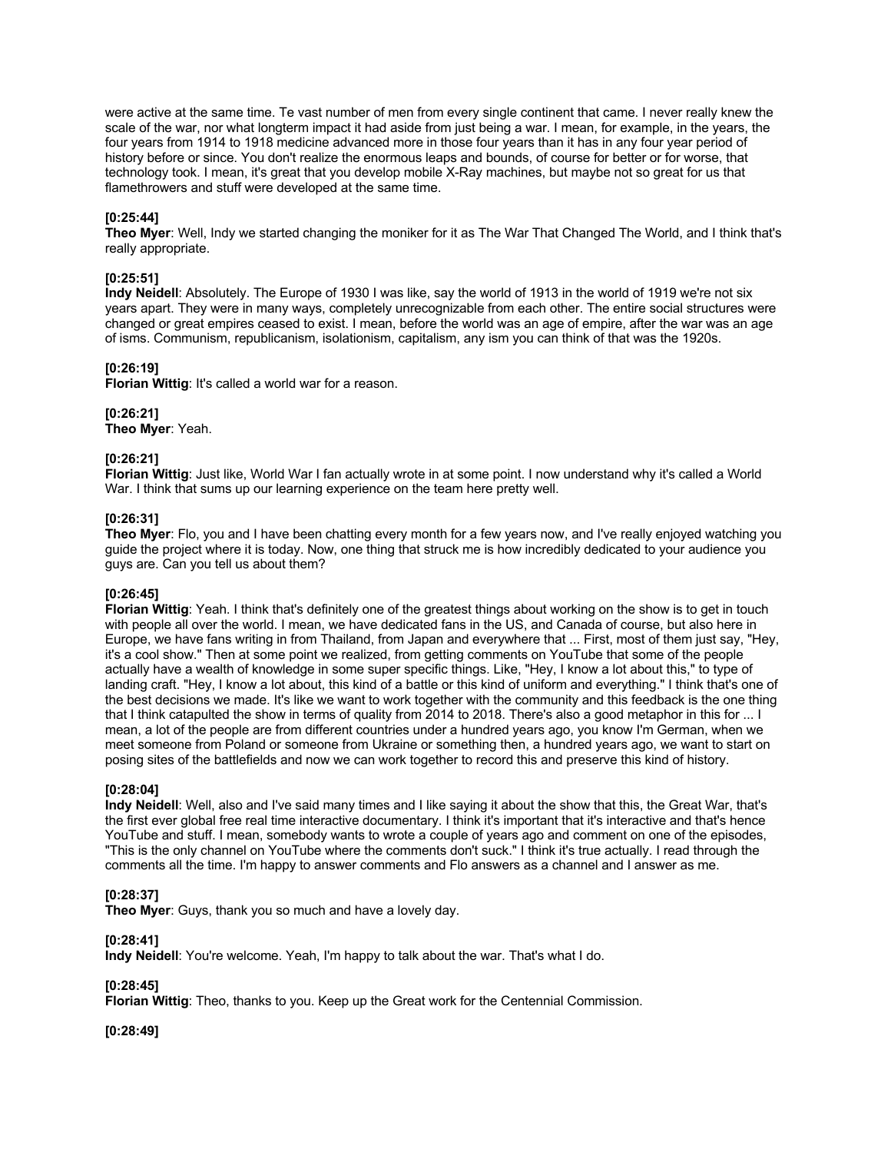were active at the same time. Te vast number of men from every single continent that came. I never really knew the scale of the war, nor what longterm impact it had aside from just being a war. I mean, for example, in the years, the four years from 1914 to 1918 medicine advanced more in those four years than it has in any four year period of history before or since. You don't realize the enormous leaps and bounds, of course for better or for worse, that technology took. I mean, it's great that you develop mobile X-Ray machines, but maybe not so great for us that flamethrowers and stuff were developed at the same time.

## **[0:25:44]**

**Theo Myer**: Well, Indy we started changing the moniker for it as The War That Changed The World, and I think that's really appropriate.

### **[0:25:51]**

**Indy Neidell**: Absolutely. The Europe of 1930 I was like, say the world of 1913 in the world of 1919 we're not six years apart. They were in many ways, completely unrecognizable from each other. The entire social structures were changed or great empires ceased to exist. I mean, before the world was an age of empire, after the war was an age of isms. Communism, republicanism, isolationism, capitalism, any ism you can think of that was the 1920s.

## **[0:26:19]**

**Florian Wittig**: It's called a world war for a reason.

### **[0:26:21]**

**Theo Myer**: Yeah.

## **[0:26:21]**

**Florian Wittig**: Just like, World War I fan actually wrote in at some point. I now understand why it's called a World War. I think that sums up our learning experience on the team here pretty well.

## **[0:26:31]**

**Theo Myer**: Flo, you and I have been chatting every month for a few years now, and I've really enjoyed watching you guide the project where it is today. Now, one thing that struck me is how incredibly dedicated to your audience you guys are. Can you tell us about them?

### **[0:26:45]**

**Florian Wittig**: Yeah. I think that's definitely one of the greatest things about working on the show is to get in touch with people all over the world. I mean, we have dedicated fans in the US, and Canada of course, but also here in Europe, we have fans writing in from Thailand, from Japan and everywhere that ... First, most of them just say, "Hey, it's a cool show." Then at some point we realized, from getting comments on YouTube that some of the people actually have a wealth of knowledge in some super specific things. Like, "Hey, I know a lot about this," to type of landing craft. "Hey, I know a lot about, this kind of a battle or this kind of uniform and everything." I think that's one of the best decisions we made. It's like we want to work together with the community and this feedback is the one thing that I think catapulted the show in terms of quality from 2014 to 2018. There's also a good metaphor in this for ... I mean, a lot of the people are from different countries under a hundred years ago, you know I'm German, when we meet someone from Poland or someone from Ukraine or something then, a hundred years ago, we want to start on posing sites of the battlefields and now we can work together to record this and preserve this kind of history.

### **[0:28:04]**

**Indy Neidell**: Well, also and I've said many times and I like saying it about the show that this, the Great War, that's the first ever global free real time interactive documentary. I think it's important that it's interactive and that's hence YouTube and stuff. I mean, somebody wants to wrote a couple of years ago and comment on one of the episodes, "This is the only channel on YouTube where the comments don't suck." I think it's true actually. I read through the comments all the time. I'm happy to answer comments and Flo answers as a channel and I answer as me.

# **[0:28:37]**

**Theo Myer**: Guys, thank you so much and have a lovely day.

# **[0:28:41]**

**Indy Neidell**: You're welcome. Yeah, I'm happy to talk about the war. That's what I do.

# **[0:28:45]**

**Florian Wittig**: Theo, thanks to you. Keep up the Great work for the Centennial Commission.

**[0:28:49]**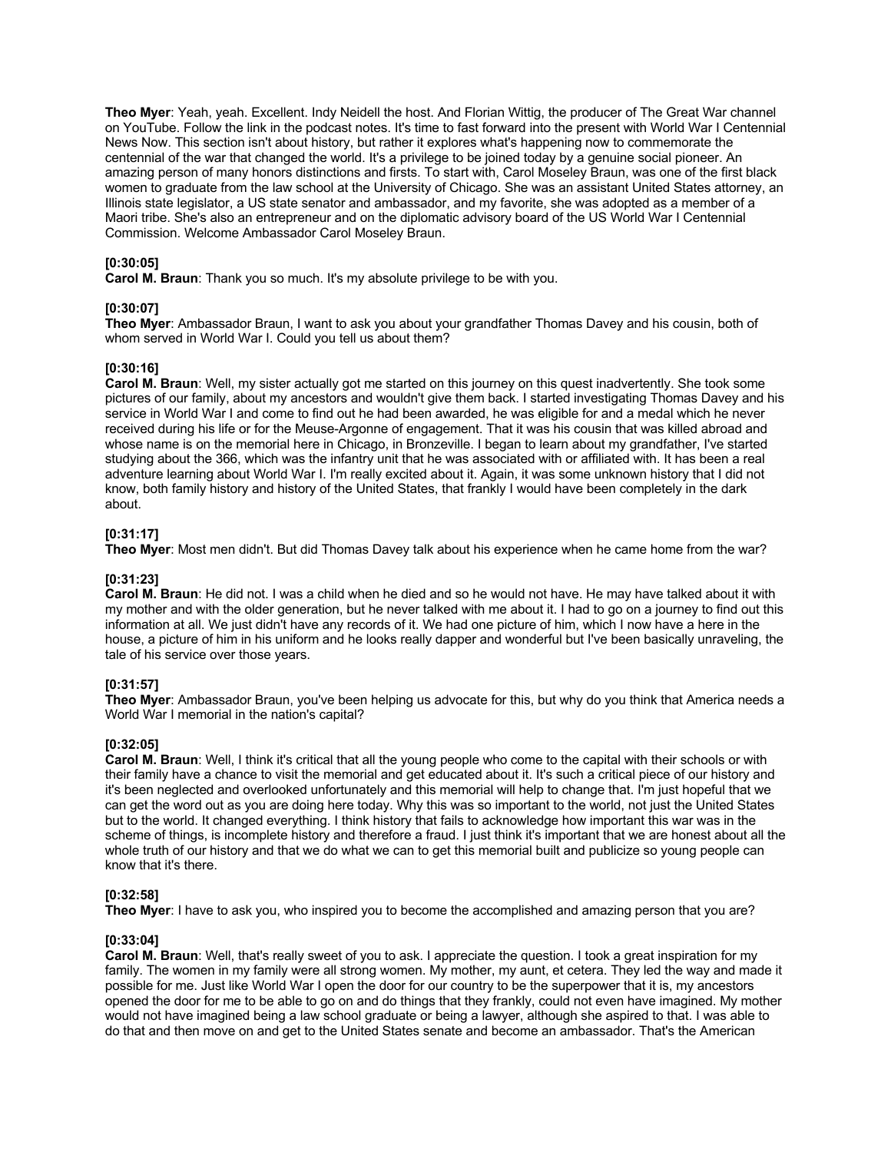**Theo Myer**: Yeah, yeah. Excellent. Indy Neidell the host. And Florian Wittig, the producer of The Great War channel on YouTube. Follow the link in the podcast notes. It's time to fast forward into the present with World War I Centennial News Now. This section isn't about history, but rather it explores what's happening now to commemorate the centennial of the war that changed the world. It's a privilege to be joined today by a genuine social pioneer. An amazing person of many honors distinctions and firsts. To start with, Carol Moseley Braun, was one of the first black women to graduate from the law school at the University of Chicago. She was an assistant United States attorney, an Illinois state legislator, a US state senator and ambassador, and my favorite, she was adopted as a member of a Maori tribe. She's also an entrepreneur and on the diplomatic advisory board of the US World War I Centennial Commission. Welcome Ambassador Carol Moseley Braun.

# **[0:30:05]**

**Carol M. Braun**: Thank you so much. It's my absolute privilege to be with you.

### **[0:30:07]**

**Theo Myer**: Ambassador Braun, I want to ask you about your grandfather Thomas Davey and his cousin, both of whom served in World War I. Could you tell us about them?

## **[0:30:16]**

**Carol M. Braun**: Well, my sister actually got me started on this journey on this quest inadvertently. She took some pictures of our family, about my ancestors and wouldn't give them back. I started investigating Thomas Davey and his service in World War I and come to find out he had been awarded, he was eligible for and a medal which he never received during his life or for the Meuse-Argonne of engagement. That it was his cousin that was killed abroad and whose name is on the memorial here in Chicago, in Bronzeville. I began to learn about my grandfather, I've started studying about the 366, which was the infantry unit that he was associated with or affiliated with. It has been a real adventure learning about World War I. I'm really excited about it. Again, it was some unknown history that I did not know, both family history and history of the United States, that frankly I would have been completely in the dark about.

## **[0:31:17]**

**Theo Myer**: Most men didn't. But did Thomas Davey talk about his experience when he came home from the war?

# **[0:31:23]**

**Carol M. Braun**: He did not. I was a child when he died and so he would not have. He may have talked about it with my mother and with the older generation, but he never talked with me about it. I had to go on a journey to find out this information at all. We just didn't have any records of it. We had one picture of him, which I now have a here in the house, a picture of him in his uniform and he looks really dapper and wonderful but I've been basically unraveling, the tale of his service over those years.

# **[0:31:57]**

**Theo Myer**: Ambassador Braun, you've been helping us advocate for this, but why do you think that America needs a World War I memorial in the nation's capital?

### **[0:32:05]**

**Carol M. Braun**: Well, I think it's critical that all the young people who come to the capital with their schools or with their family have a chance to visit the memorial and get educated about it. It's such a critical piece of our history and it's been neglected and overlooked unfortunately and this memorial will help to change that. I'm just hopeful that we can get the word out as you are doing here today. Why this was so important to the world, not just the United States but to the world. It changed everything. I think history that fails to acknowledge how important this war was in the scheme of things, is incomplete history and therefore a fraud. I just think it's important that we are honest about all the whole truth of our history and that we do what we can to get this memorial built and publicize so young people can know that it's there.

### **[0:32:58]**

**Theo Myer**: I have to ask you, who inspired you to become the accomplished and amazing person that you are?

# **[0:33:04]**

**Carol M. Braun**: Well, that's really sweet of you to ask. I appreciate the question. I took a great inspiration for my family. The women in my family were all strong women. My mother, my aunt, et cetera. They led the way and made it possible for me. Just like World War I open the door for our country to be the superpower that it is, my ancestors opened the door for me to be able to go on and do things that they frankly, could not even have imagined. My mother would not have imagined being a law school graduate or being a lawyer, although she aspired to that. I was able to do that and then move on and get to the United States senate and become an ambassador. That's the American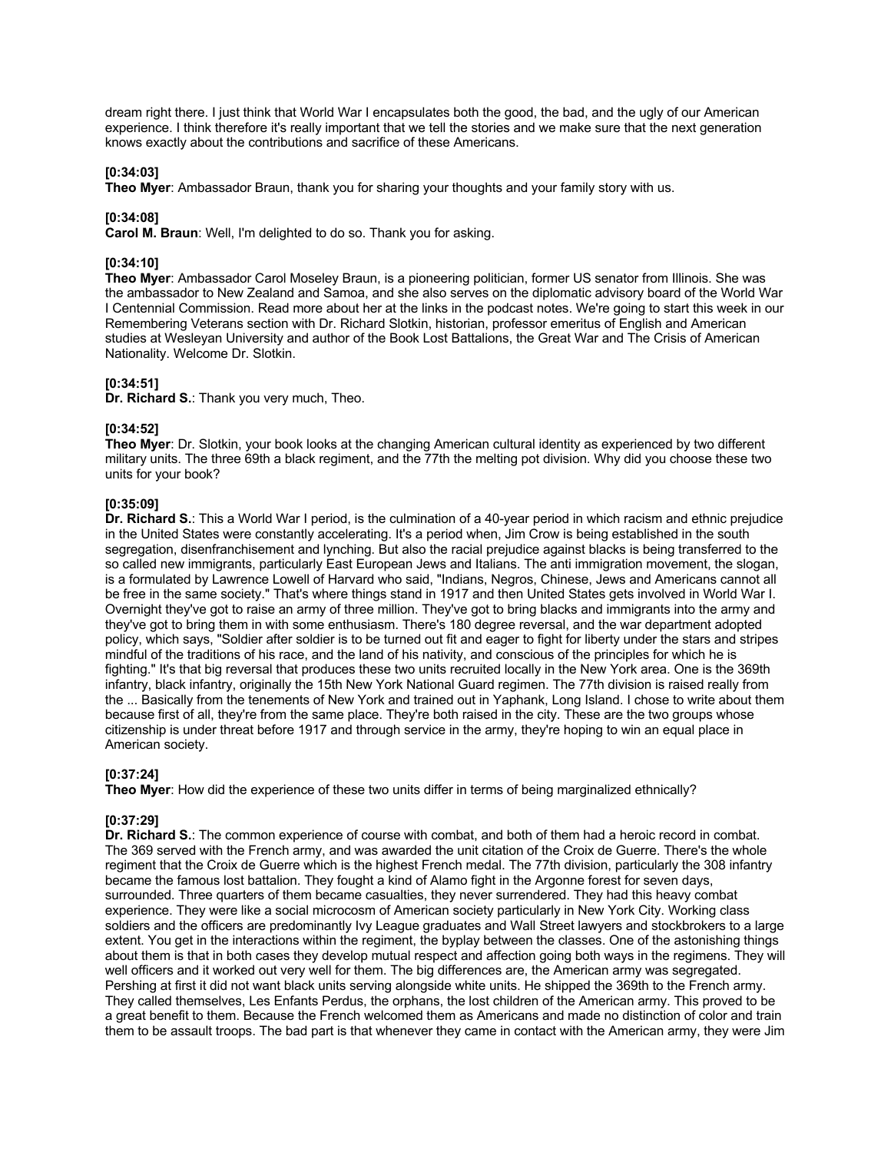dream right there. I just think that World War I encapsulates both the good, the bad, and the ugly of our American experience. I think therefore it's really important that we tell the stories and we make sure that the next generation knows exactly about the contributions and sacrifice of these Americans.

# **[0:34:03]**

**Theo Myer**: Ambassador Braun, thank you for sharing your thoughts and your family story with us.

## **[0:34:08]**

**Carol M. Braun**: Well, I'm delighted to do so. Thank you for asking.

# **[0:34:10]**

**Theo Myer**: Ambassador Carol Moseley Braun, is a pioneering politician, former US senator from Illinois. She was the ambassador to New Zealand and Samoa, and she also serves on the diplomatic advisory board of the World War I Centennial Commission. Read more about her at the links in the podcast notes. We're going to start this week in our Remembering Veterans section with Dr. Richard Slotkin, historian, professor emeritus of English and American studies at Wesleyan University and author of the Book Lost Battalions, the Great War and The Crisis of American Nationality. Welcome Dr. Slotkin.

### **[0:34:51]**

**Dr. Richard S.**: Thank you very much, Theo.

### **[0:34:52]**

**Theo Myer**: Dr. Slotkin, your book looks at the changing American cultural identity as experienced by two different military units. The three 69th a black regiment, and the 77th the melting pot division. Why did you choose these two units for your book?

## **[0:35:09]**

**Dr. Richard S.**: This a World War I period, is the culmination of a 40-year period in which racism and ethnic prejudice in the United States were constantly accelerating. It's a period when, Jim Crow is being established in the south segregation, disenfranchisement and lynching. But also the racial prejudice against blacks is being transferred to the so called new immigrants, particularly East European Jews and Italians. The anti immigration movement, the slogan, is a formulated by Lawrence Lowell of Harvard who said, "Indians, Negros, Chinese, Jews and Americans cannot all be free in the same society." That's where things stand in 1917 and then United States gets involved in World War I. Overnight they've got to raise an army of three million. They've got to bring blacks and immigrants into the army and they've got to bring them in with some enthusiasm. There's 180 degree reversal, and the war department adopted policy, which says, "Soldier after soldier is to be turned out fit and eager to fight for liberty under the stars and stripes mindful of the traditions of his race, and the land of his nativity, and conscious of the principles for which he is fighting." It's that big reversal that produces these two units recruited locally in the New York area. One is the 369th infantry, black infantry, originally the 15th New York National Guard regimen. The 77th division is raised really from the ... Basically from the tenements of New York and trained out in Yaphank, Long Island. I chose to write about them because first of all, they're from the same place. They're both raised in the city. These are the two groups whose citizenship is under threat before 1917 and through service in the army, they're hoping to win an equal place in American society.

# **[0:37:24]**

**Theo Myer**: How did the experience of these two units differ in terms of being marginalized ethnically?

# **[0:37:29]**

**Dr. Richard S.**: The common experience of course with combat, and both of them had a heroic record in combat. The 369 served with the French army, and was awarded the unit citation of the Croix de Guerre. There's the whole regiment that the Croix de Guerre which is the highest French medal. The 77th division, particularly the 308 infantry became the famous lost battalion. They fought a kind of Alamo fight in the Argonne forest for seven days, surrounded. Three quarters of them became casualties, they never surrendered. They had this heavy combat experience. They were like a social microcosm of American society particularly in New York City. Working class soldiers and the officers are predominantly Ivy League graduates and Wall Street lawyers and stockbrokers to a large extent. You get in the interactions within the regiment, the byplay between the classes. One of the astonishing things about them is that in both cases they develop mutual respect and affection going both ways in the regimens. They will well officers and it worked out very well for them. The big differences are, the American army was segregated. Pershing at first it did not want black units serving alongside white units. He shipped the 369th to the French army. They called themselves, Les Enfants Perdus, the orphans, the lost children of the American army. This proved to be a great benefit to them. Because the French welcomed them as Americans and made no distinction of color and train them to be assault troops. The bad part is that whenever they came in contact with the American army, they were Jim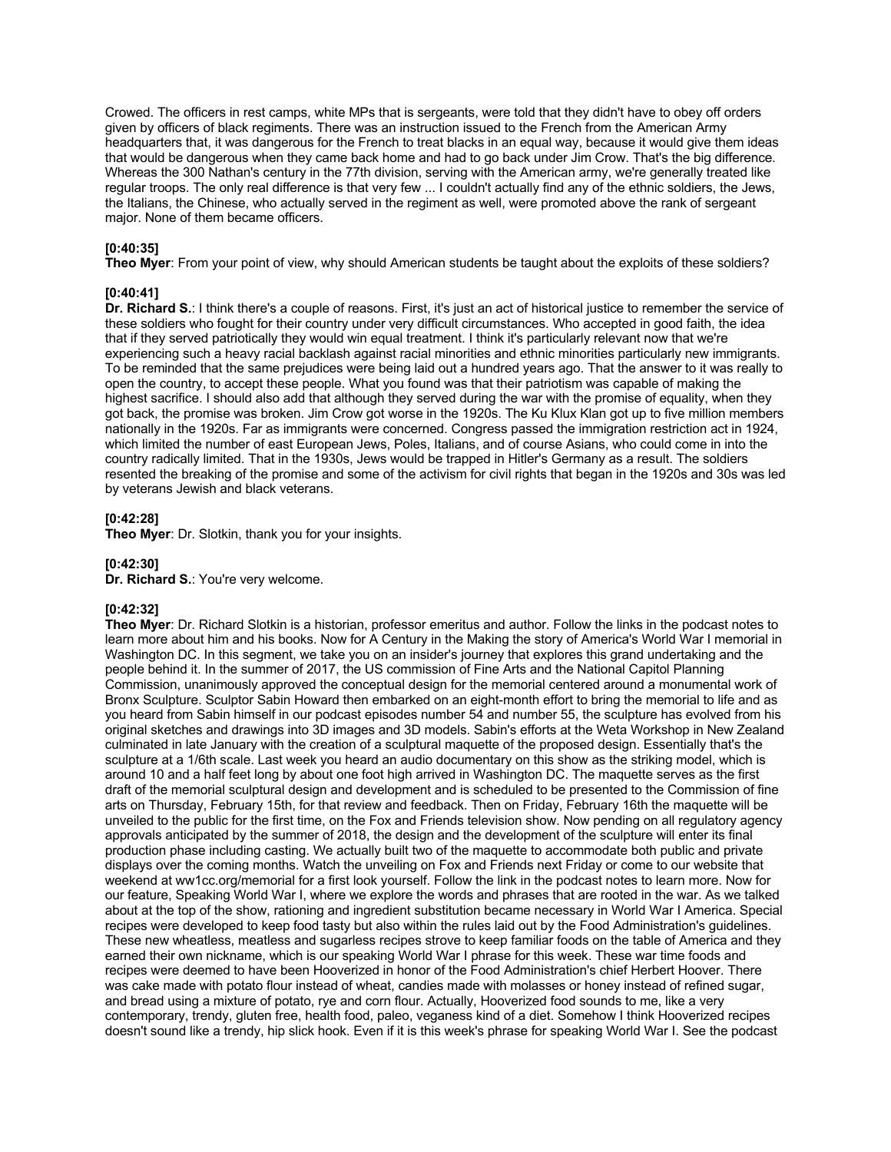Crowed. The officers in rest camps, white MPs that is sergeants, were told that they didn't have to obey off orders given by officers of black regiments. There was an instruction issued to the French from the American Army headquarters that, it was dangerous for the French to treat blacks in an equal way, because it would give them ideas that would be dangerous when they came back home and had to go back under Jim Crow. That's the big difference. Whereas the 300 Nathan's century in the 77th division, serving with the American army, we're generally treated like regular troops. The only real difference is that very few ... I couldn't actually find any of the ethnic soldiers, the Jews, the Italians, the Chinese, who actually served in the regiment as well, were promoted above the rank of sergeant major. None of them became officers.

## **[0:40:35]**

**Theo Myer**: From your point of view, why should American students be taught about the exploits of these soldiers?

## **[0:40:41]**

**Dr. Richard S.**: I think there's a couple of reasons. First, it's just an act of historical justice to remember the service of these soldiers who fought for their country under very difficult circumstances. Who accepted in good faith, the idea that if they served patriotically they would win equal treatment. I think it's particularly relevant now that we're experiencing such a heavy racial backlash against racial minorities and ethnic minorities particularly new immigrants. To be reminded that the same prejudices were being laid out a hundred years ago. That the answer to it was really to open the country, to accept these people. What you found was that their patriotism was capable of making the highest sacrifice. I should also add that although they served during the war with the promise of equality, when they got back, the promise was broken. Jim Crow got worse in the 1920s. The Ku Klux Klan got up to five million members nationally in the 1920s. Far as immigrants were concerned. Congress passed the immigration restriction act in 1924, which limited the number of east European Jews, Poles, Italians, and of course Asians, who could come in into the country radically limited. That in the 1930s, Jews would be trapped in Hitler's Germany as a result. The soldiers resented the breaking of the promise and some of the activism for civil rights that began in the 1920s and 30s was led by veterans Jewish and black veterans.

### **[0:42:28]**

**Theo Myer**: Dr. Slotkin, thank you for your insights.

## **[0:42:30]**

**Dr. Richard S.**: You're very welcome.

### **[0:42:32]**

**Theo Myer**: Dr. Richard Slotkin is a historian, professor emeritus and author. Follow the links in the podcast notes to learn more about him and his books. Now for A Century in the Making the story of America's World War I memorial in Washington DC. In this segment, we take you on an insider's journey that explores this grand undertaking and the people behind it. In the summer of 2017, the US commission of Fine Arts and the National Capitol Planning Commission, unanimously approved the conceptual design for the memorial centered around a monumental work of Bronx Sculpture. Sculptor Sabin Howard then embarked on an eight-month effort to bring the memorial to life and as you heard from Sabin himself in our podcast episodes number 54 and number 55, the sculpture has evolved from his original sketches and drawings into 3D images and 3D models. Sabin's efforts at the Weta Workshop in New Zealand culminated in late January with the creation of a sculptural maquette of the proposed design. Essentially that's the sculpture at a 1/6th scale. Last week you heard an audio documentary on this show as the striking model, which is around 10 and a half feet long by about one foot high arrived in Washington DC. The maquette serves as the first draft of the memorial sculptural design and development and is scheduled to be presented to the Commission of fine arts on Thursday, February 15th, for that review and feedback. Then on Friday, February 16th the maquette will be unveiled to the public for the first time, on the Fox and Friends television show. Now pending on all regulatory agency approvals anticipated by the summer of 2018, the design and the development of the sculpture will enter its final production phase including casting. We actually built two of the maquette to accommodate both public and private displays over the coming months. Watch the unveiling on Fox and Friends next Friday or come to our website that weekend at ww1cc.org/memorial for a first look yourself. Follow the link in the podcast notes to learn more. Now for our feature, Speaking World War I, where we explore the words and phrases that are rooted in the war. As we talked about at the top of the show, rationing and ingredient substitution became necessary in World War I America. Special recipes were developed to keep food tasty but also within the rules laid out by the Food Administration's guidelines. These new wheatless, meatless and sugarless recipes strove to keep familiar foods on the table of America and they earned their own nickname, which is our speaking World War I phrase for this week. These war time foods and recipes were deemed to have been Hooverized in honor of the Food Administration's chief Herbert Hoover. There was cake made with potato flour instead of wheat, candies made with molasses or honey instead of refined sugar, and bread using a mixture of potato, rye and corn flour. Actually, Hooverized food sounds to me, like a very contemporary, trendy, gluten free, health food, paleo, veganess kind of a diet. Somehow I think Hooverized recipes doesn't sound like a trendy, hip slick hook. Even if it is this week's phrase for speaking World War I. See the podcast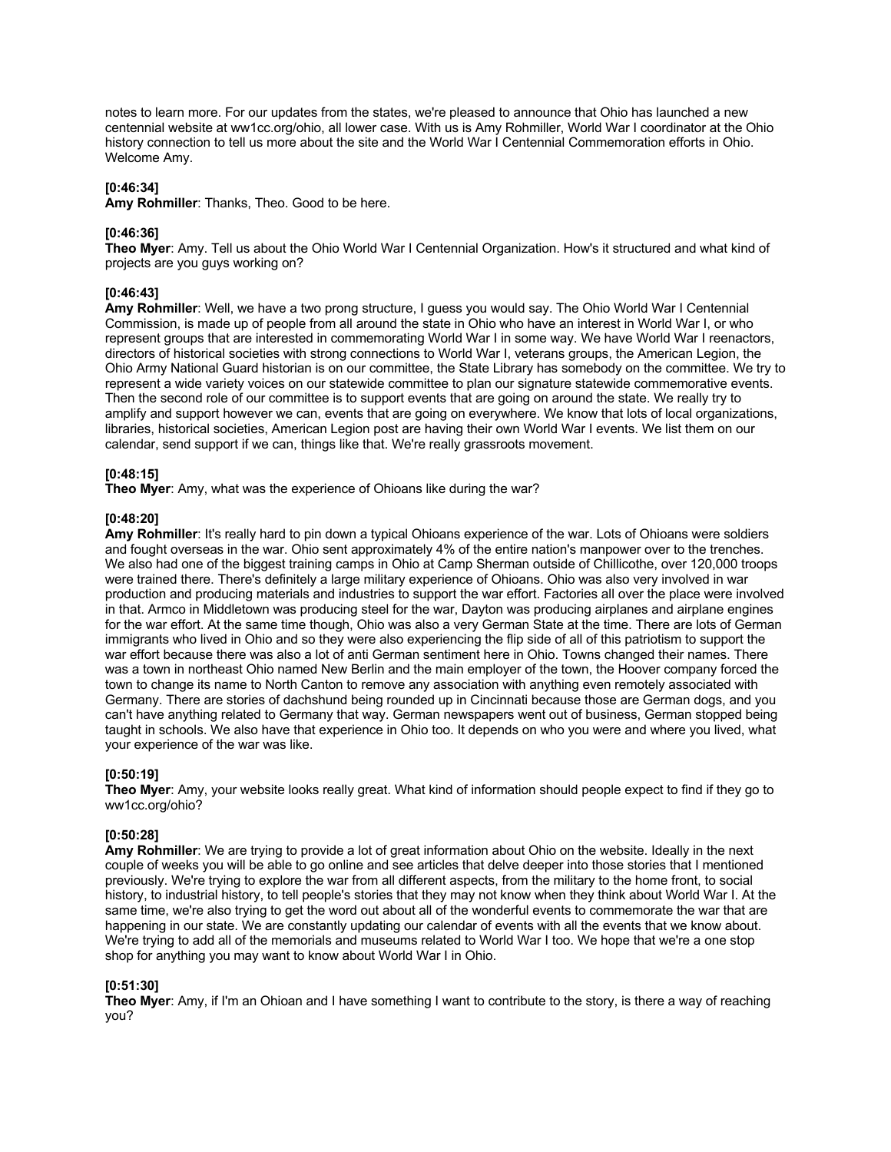notes to learn more. For our updates from the states, we're pleased to announce that Ohio has launched a new centennial website at ww1cc.org/ohio, all lower case. With us is Amy Rohmiller, World War I coordinator at the Ohio history connection to tell us more about the site and the World War I Centennial Commemoration efforts in Ohio. Welcome Amy.

### **[0:46:34]**

**Amy Rohmiller**: Thanks, Theo. Good to be here.

### **[0:46:36]**

**Theo Myer**: Amy. Tell us about the Ohio World War I Centennial Organization. How's it structured and what kind of projects are you guys working on?

#### **[0:46:43]**

**Amy Rohmiller**: Well, we have a two prong structure, I guess you would say. The Ohio World War I Centennial Commission, is made up of people from all around the state in Ohio who have an interest in World War I, or who represent groups that are interested in commemorating World War I in some way. We have World War I reenactors, directors of historical societies with strong connections to World War I, veterans groups, the American Legion, the Ohio Army National Guard historian is on our committee, the State Library has somebody on the committee. We try to represent a wide variety voices on our statewide committee to plan our signature statewide commemorative events. Then the second role of our committee is to support events that are going on around the state. We really try to amplify and support however we can, events that are going on everywhere. We know that lots of local organizations, libraries, historical societies, American Legion post are having their own World War I events. We list them on our calendar, send support if we can, things like that. We're really grassroots movement.

#### **[0:48:15]**

**Theo Myer**: Amy, what was the experience of Ohioans like during the war?

#### **[0:48:20]**

**Amy Rohmiller**: It's really hard to pin down a typical Ohioans experience of the war. Lots of Ohioans were soldiers and fought overseas in the war. Ohio sent approximately 4% of the entire nation's manpower over to the trenches. We also had one of the biggest training camps in Ohio at Camp Sherman outside of Chillicothe, over 120,000 troops were trained there. There's definitely a large military experience of Ohioans. Ohio was also very involved in war production and producing materials and industries to support the war effort. Factories all over the place were involved in that. Armco in Middletown was producing steel for the war, Dayton was producing airplanes and airplane engines for the war effort. At the same time though, Ohio was also a very German State at the time. There are lots of German immigrants who lived in Ohio and so they were also experiencing the flip side of all of this patriotism to support the war effort because there was also a lot of anti German sentiment here in Ohio. Towns changed their names. There was a town in northeast Ohio named New Berlin and the main employer of the town, the Hoover company forced the town to change its name to North Canton to remove any association with anything even remotely associated with Germany. There are stories of dachshund being rounded up in Cincinnati because those are German dogs, and you can't have anything related to Germany that way. German newspapers went out of business, German stopped being taught in schools. We also have that experience in Ohio too. It depends on who you were and where you lived, what your experience of the war was like.

### **[0:50:19]**

**Theo Myer**: Amy, your website looks really great. What kind of information should people expect to find if they go to ww1cc.org/ohio?

#### **[0:50:28]**

**Amy Rohmiller**: We are trying to provide a lot of great information about Ohio on the website. Ideally in the next couple of weeks you will be able to go online and see articles that delve deeper into those stories that I mentioned previously. We're trying to explore the war from all different aspects, from the military to the home front, to social history, to industrial history, to tell people's stories that they may not know when they think about World War I. At the same time, we're also trying to get the word out about all of the wonderful events to commemorate the war that are happening in our state. We are constantly updating our calendar of events with all the events that we know about. We're trying to add all of the memorials and museums related to World War I too. We hope that we're a one stop shop for anything you may want to know about World War I in Ohio.

### **[0:51:30]**

**Theo Myer**: Amy, if I'm an Ohioan and I have something I want to contribute to the story, is there a way of reaching you?